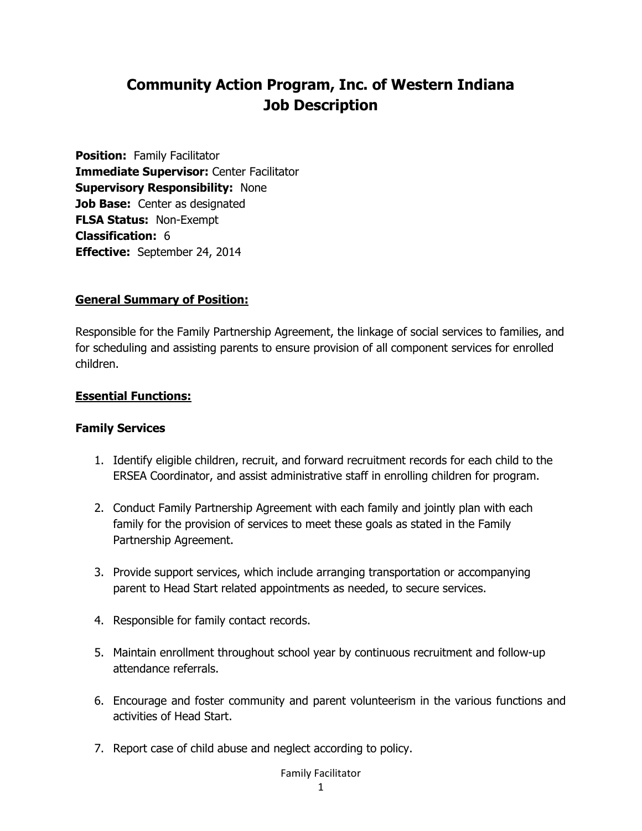# **Community Action Program, Inc. of Western Indiana Job Description**

**Position: Family Facilitator Immediate Supervisor:** Center Facilitator **Supervisory Responsibility:** None **Job Base:** Center as designated **FLSA Status:** Non-Exempt **Classification:** 6 **Effective:** September 24, 2014

#### **General Summary of Position:**

Responsible for the Family Partnership Agreement, the linkage of social services to families, and for scheduling and assisting parents to ensure provision of all component services for enrolled children.

#### **Essential Functions:**

#### **Family Services**

- 1. Identify eligible children, recruit, and forward recruitment records for each child to the ERSEA Coordinator, and assist administrative staff in enrolling children for program.
- 2. Conduct Family Partnership Agreement with each family and jointly plan with each family for the provision of services to meet these goals as stated in the Family Partnership Agreement.
- 3. Provide support services, which include arranging transportation or accompanying parent to Head Start related appointments as needed, to secure services.
- 4. Responsible for family contact records.
- 5. Maintain enrollment throughout school year by continuous recruitment and follow-up attendance referrals.
- 6. Encourage and foster community and parent volunteerism in the various functions and activities of Head Start.
- 7. Report case of child abuse and neglect according to policy.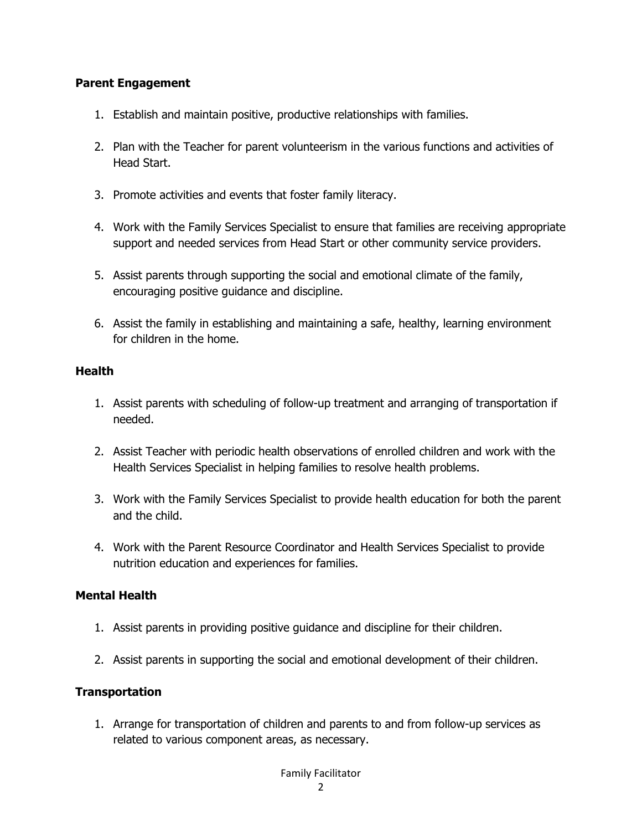#### **Parent Engagement**

- 1. Establish and maintain positive, productive relationships with families.
- 2. Plan with the Teacher for parent volunteerism in the various functions and activities of Head Start.
- 3. Promote activities and events that foster family literacy.
- 4. Work with the Family Services Specialist to ensure that families are receiving appropriate support and needed services from Head Start or other community service providers.
- 5. Assist parents through supporting the social and emotional climate of the family, encouraging positive guidance and discipline.
- 6. Assist the family in establishing and maintaining a safe, healthy, learning environment for children in the home.

#### **Health**

- 1. Assist parents with scheduling of follow-up treatment and arranging of transportation if needed.
- 2. Assist Teacher with periodic health observations of enrolled children and work with the Health Services Specialist in helping families to resolve health problems.
- 3. Work with the Family Services Specialist to provide health education for both the parent and the child.
- 4. Work with the Parent Resource Coordinator and Health Services Specialist to provide nutrition education and experiences for families.

## **Mental Health**

- 1. Assist parents in providing positive guidance and discipline for their children.
- 2. Assist parents in supporting the social and emotional development of their children.

## **Transportation**

1. Arrange for transportation of children and parents to and from follow-up services as related to various component areas, as necessary.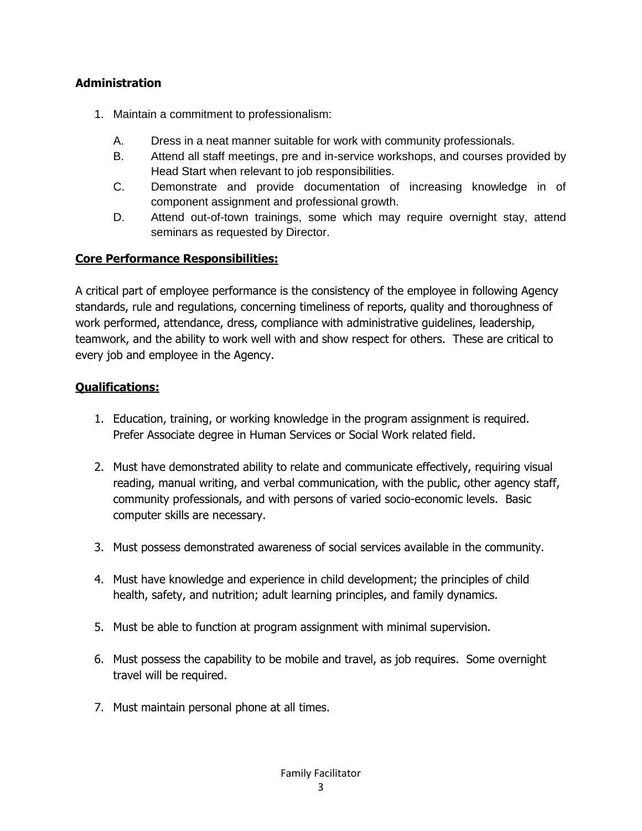# **Administration**

- 1. Maintain a commitment to professionalism:
	- A. Dress in a neat manner suitable for work with community professionals.
	- B. Attend all staff meetings, pre and in-service workshops, and courses provided by Head Start when relevant to job responsibilities.
	- C. Demonstrate and provide documentation of increasing knowledge in of component assignment and professional growth.
	- D. Attend out-of-town trainings, some which may require overnight stay, attend seminars as requested by Director.

# **Core Performance Responsibilities:**

A critical part of employee performance is the consistency of the employee in following Agency standards, rule and regulations, concerning timeliness of reports, quality and thoroughness of work performed, attendance, dress, compliance with administrative guidelines, leadership, teamwork, and the ability to work well with and show respect for others. These are critical to every job and employee in the Agency.

# **Qualifications:**

- 1. Education, training, or working knowledge in the program assignment is required. Prefer Associate degree in Human Services or Social Work related field.
- 2. Must have demonstrated ability to relate and communicate effectively, requiring visual reading, manual writing, and verbal communication, with the public, other agency staff, community professionals, and with persons of varied socio-economic levels. Basic computer skills are necessary.
- 3. Must possess demonstrated awareness of social services available in the community.
- 4. Must have knowledge and experience in child development; the principles of child health, safety, and nutrition; adult learning principles, and family dynamics.
- 5. Must be able to function at program assignment with minimal supervision.
- 6. Must possess the capability to be mobile and travel, as job requires. Some overnight travel will be required.
- 7. Must maintain personal phone at all times.